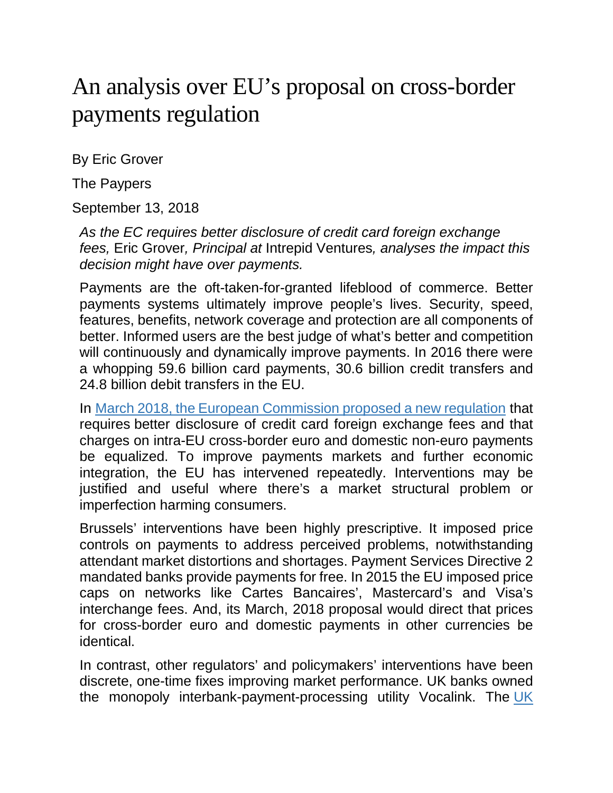## An analysis over EU's proposal on cross-border payments regulation

By Eric Grover

The Paypers

September 13, 2018

*As the EC requires better disclosure of credit card foreign exchange fees,* Eric Grover*, Principal at* Intrepid Ventures*, analyses the impact this decision might have over payments.*

Payments are the oft-taken-for-granted lifeblood of commerce. Better payments systems ultimately improve people's lives. Security, speed, features, benefits, network coverage and protection are all components of better. Informed users are the best judge of what's better and competition will continuously and dynamically improve payments. In 2016 there were a whopping 59.6 billion card payments, 30.6 billion credit transfers and 24.8 billion debit transfers in the EU.

In [March 2018, the European Commission proposed a new regulation](https://eur-lex.europa.eu/legal-content/EN/TXT/?uri=COM%3A2018%3A163%3AFIN) that requires better disclosure of credit card foreign exchange fees and that charges on intra-EU cross-border euro and domestic non-euro payments be equalized. To improve payments markets and further economic integration, the EU has intervened repeatedly. Interventions may be justified and useful where there's a market structural problem or imperfection harming consumers.

Brussels' interventions have been highly prescriptive. It imposed price controls on payments to address perceived problems, notwithstanding attendant market distortions and shortages. Payment Services Directive 2 mandated banks provide payments for free. In 2015 the EU imposed price caps on networks like Cartes Bancaires', Mastercard's and Visa's interchange fees. And, its March, 2018 proposal would direct that prices for cross-border euro and domestic payments in other currencies be identical.

In contrast, other regulators' and policymakers' interventions have been discrete, one-time fixes improving market performance. UK banks owned the monopoly interbank-payment-processing utility Vocalink. The [UK](https://www.psr.org.uk/psr-publications/market-reviews/MR1523-final-report-infrastructure-provision)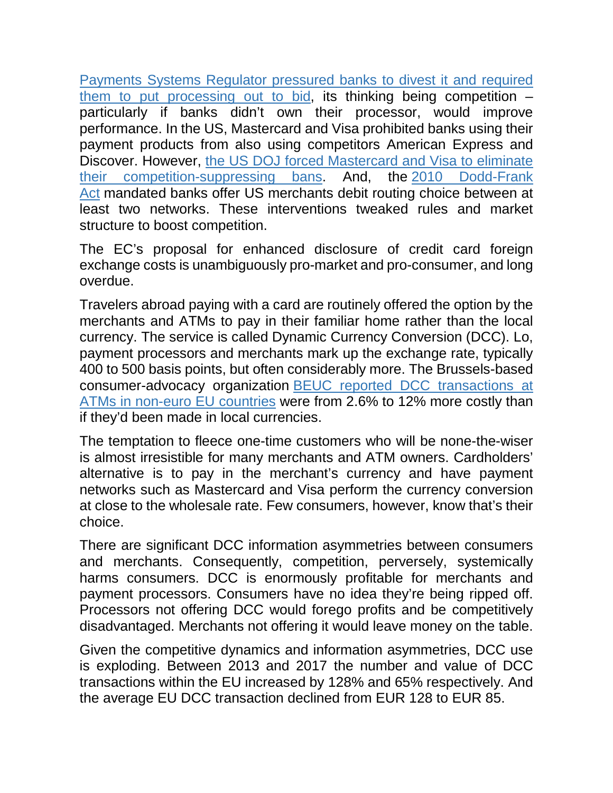[Payments Systems Regulator pressured banks to divest it and required](https://www.psr.org.uk/psr-publications/market-reviews/MR1523-final-report-infrastructure-provision)  [them to put processing out to bid,](https://www.psr.org.uk/psr-publications/market-reviews/MR1523-final-report-infrastructure-provision) its thinking being competition – particularly if banks didn't own their processor, would improve performance. In the US, Mastercard and Visa prohibited banks using their payment products from also using competitors American Express and Discover. However, [the US DOJ forced Mastercard and Visa to eliminate](https://www.justice.gov/atr/case-document/decision-0)  [their competition-suppressing bans.](https://www.justice.gov/atr/case-document/decision-0) And, the [2010 Dodd-Frank](https://www.govtrack.us/congress/bills/111/hr4173/text)  [Act](https://www.govtrack.us/congress/bills/111/hr4173/text) mandated banks offer US merchants debit routing choice between at least two networks. These interventions tweaked rules and market structure to boost competition.

The EC's proposal for enhanced disclosure of credit card foreign exchange costs is unambiguously pro-market and pro-consumer, and long overdue.

Travelers abroad paying with a card are routinely offered the option by the merchants and ATMs to pay in their familiar home rather than the local currency. The service is called Dynamic Currency Conversion (DCC). Lo, payment processors and merchants mark up the exchange rate, typically 400 to 500 basis points, but often considerably more. The Brussels-based consumer-advocacy organization [BEUC reported DCC transactions at](http://www.beuc.eu/publications/beuc-x-2017-118_dynamic_currency_conversion_position_paper.pdf)  [ATMs in non-euro EU countries](http://www.beuc.eu/publications/beuc-x-2017-118_dynamic_currency_conversion_position_paper.pdf) were from 2.6% to 12% more costly than if they'd been made in local currencies.

The temptation to fleece one-time customers who will be none-the-wiser is almost irresistible for many merchants and ATM owners. Cardholders' alternative is to pay in the merchant's currency and have payment networks such as Mastercard and Visa perform the currency conversion at close to the wholesale rate. Few consumers, however, know that's their choice.

There are significant DCC information asymmetries between consumers and merchants. Consequently, competition, perversely, systemically harms consumers. DCC is enormously profitable for merchants and payment processors. Consumers have no idea they're being ripped off. Processors not offering DCC would forego profits and be competitively disadvantaged. Merchants not offering it would leave money on the table.

Given the competitive dynamics and information asymmetries, DCC use is exploding. Between 2013 and 2017 the number and value of DCC transactions within the EU increased by 128% and 65% respectively. And the average EU DCC transaction declined from EUR 128 to EUR 85.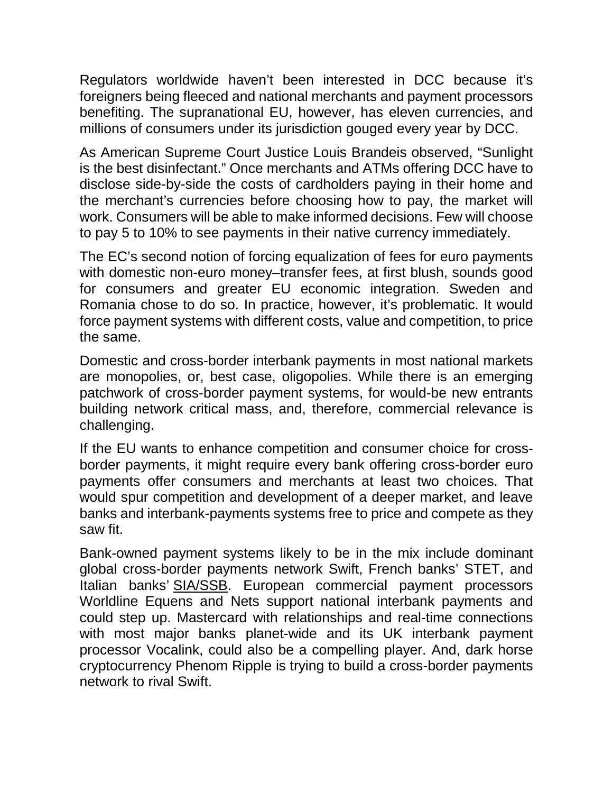Regulators worldwide haven't been interested in DCC because it's foreigners being fleeced and national merchants and payment processors benefiting. The supranational EU, however, has eleven currencies, and millions of consumers under its jurisdiction gouged every year by DCC.

As American Supreme Court Justice Louis Brandeis observed, "Sunlight is the best disinfectant." Once merchants and ATMs offering DCC have to disclose side-by-side the costs of cardholders paying in their home and the merchant's currencies before choosing how to pay, the market will work. Consumers will be able to make informed decisions. Few will choose to pay 5 to 10% to see payments in their native currency immediately.

The EC's second notion of forcing equalization of fees for euro payments with domestic non-euro money–transfer fees, at first blush, sounds good for consumers and greater EU economic integration. Sweden and Romania chose to do so. In practice, however, it's problematic. It would force payment systems with different costs, value and competition, to price the same.

Domestic and cross-border interbank payments in most national markets are monopolies, or, best case, oligopolies. While there is an emerging patchwork of cross-border payment systems, for would-be new entrants building network critical mass, and, therefore, commercial relevance is challenging.

If the EU wants to enhance competition and consumer choice for crossborder payments, it might require every bank offering cross-border euro payments offer consumers and merchants at least two choices. That would spur competition and development of a deeper market, and leave banks and interbank-payments systems free to price and compete as they saw fit.

Bank-owned payment systems likely to be in the mix include dominant global cross-border payments network Swift, French banks' STET, and Italian banks' [SIA/SSB.](http://shares.telegraph.co.uk/news/article.php?id=1891654&archive=1&epic=ISP) European commercial payment processors Worldline Equens and Nets support national interbank payments and could step up. Mastercard with relationships and real-time connections with most major banks planet-wide and its UK interbank payment processor Vocalink, could also be a compelling player. And, dark horse cryptocurrency Phenom Ripple is trying to build a cross-border payments network to rival Swift.